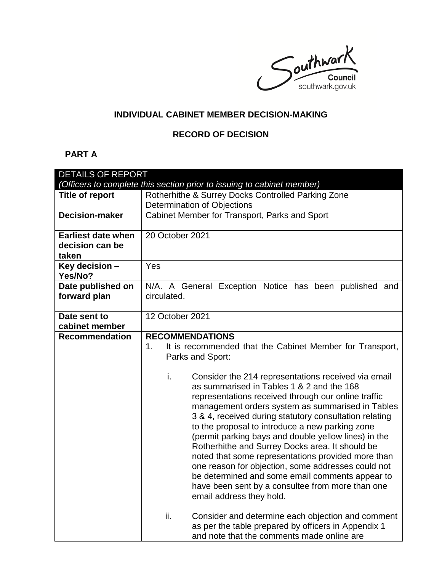Southwark southwark.gov.uk

# **INDIVIDUAL CABINET MEMBER DECISION-MAKING**

#### **RECORD OF DECISION**

# **PART A**

| <b>DETAILS OF REPORT</b>                                               |                                                                                                       |  |  |  |
|------------------------------------------------------------------------|-------------------------------------------------------------------------------------------------------|--|--|--|
| (Officers to complete this section prior to issuing to cabinet member) |                                                                                                       |  |  |  |
| <b>Title of report</b>                                                 | Rotherhithe & Surrey Docks Controlled Parking Zone                                                    |  |  |  |
|                                                                        | Determination of Objections                                                                           |  |  |  |
| <b>Decision-maker</b>                                                  | Cabinet Member for Transport, Parks and Sport                                                         |  |  |  |
|                                                                        |                                                                                                       |  |  |  |
| <b>Earliest date when</b>                                              | 20 October 2021                                                                                       |  |  |  |
| decision can be                                                        |                                                                                                       |  |  |  |
| taken                                                                  |                                                                                                       |  |  |  |
| Key decision -                                                         | Yes                                                                                                   |  |  |  |
| Yes/No?                                                                |                                                                                                       |  |  |  |
| Date published on<br>forward plan                                      | N/A. A General Exception Notice has been published and<br>circulated.                                 |  |  |  |
|                                                                        |                                                                                                       |  |  |  |
| Date sent to                                                           | 12 October 2021                                                                                       |  |  |  |
| cabinet member                                                         |                                                                                                       |  |  |  |
| <b>Recommendation</b>                                                  | <b>RECOMMENDATIONS</b>                                                                                |  |  |  |
|                                                                        | 1.<br>It is recommended that the Cabinet Member for Transport,                                        |  |  |  |
|                                                                        | Parks and Sport:                                                                                      |  |  |  |
|                                                                        |                                                                                                       |  |  |  |
|                                                                        | i.<br>Consider the 214 representations received via email                                             |  |  |  |
|                                                                        | as summarised in Tables 1 & 2 and the 168                                                             |  |  |  |
|                                                                        | representations received through our online traffic                                                   |  |  |  |
|                                                                        | management orders system as summarised in Tables                                                      |  |  |  |
|                                                                        | 3 & 4, received during statutory consultation relating                                                |  |  |  |
|                                                                        | to the proposal to introduce a new parking zone                                                       |  |  |  |
|                                                                        | (permit parking bays and double yellow lines) in the                                                  |  |  |  |
|                                                                        | Rotherhithe and Surrey Docks area. It should be                                                       |  |  |  |
|                                                                        | noted that some representations provided more than                                                    |  |  |  |
|                                                                        | one reason for objection, some addresses could not<br>be determined and some email comments appear to |  |  |  |
|                                                                        | have been sent by a consultee from more than one                                                      |  |  |  |
|                                                                        | email address they hold.                                                                              |  |  |  |
|                                                                        |                                                                                                       |  |  |  |
|                                                                        | ii.<br>Consider and determine each objection and comment                                              |  |  |  |
|                                                                        | as per the table prepared by officers in Appendix 1                                                   |  |  |  |
|                                                                        | and note that the comments made online are                                                            |  |  |  |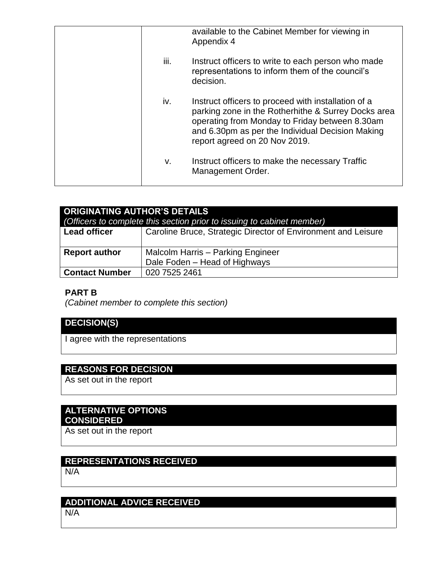|      | available to the Cabinet Member for viewing in<br>Appendix 4                                                                                                                                                                                      |
|------|---------------------------------------------------------------------------------------------------------------------------------------------------------------------------------------------------------------------------------------------------|
| iii. | Instruct officers to write to each person who made<br>representations to inform them of the council's<br>decision.                                                                                                                                |
| iv.  | Instruct officers to proceed with installation of a<br>parking zone in the Rotherhithe & Surrey Docks area<br>operating from Monday to Friday between 8.30am<br>and 6.30pm as per the Individual Decision Making<br>report agreed on 20 Nov 2019. |
| v.   | Instruct officers to make the necessary Traffic<br>Management Order.                                                                                                                                                                              |
|      |                                                                                                                                                                                                                                                   |

| <b>ORIGINATING AUTHOR'S DETAILS</b><br>(Officers to complete this section prior to issuing to cabinet member) |                                                               |  |  |
|---------------------------------------------------------------------------------------------------------------|---------------------------------------------------------------|--|--|
| <b>Lead officer</b>                                                                                           | Caroline Bruce, Strategic Director of Environment and Leisure |  |  |
| <b>Report author</b>                                                                                          | Malcolm Harris - Parking Engineer                             |  |  |
|                                                                                                               | Dale Foden - Head of Highways                                 |  |  |
| <b>Contact Number</b>                                                                                         | 020 7525 2461                                                 |  |  |

#### **PART B**

*(Cabinet member to complete this section)* 

# **DECISION(S)**

I agree with the representations

## **REASONS FOR DECISION**

As set out in the report

#### **ALTERNATIVE OPTIONS CONSIDERED**

As set out in the report

# **REPRESENTATIONS RECEIVED**

N/A

# **ADDITIONAL ADVICE RECEIVED**

N/A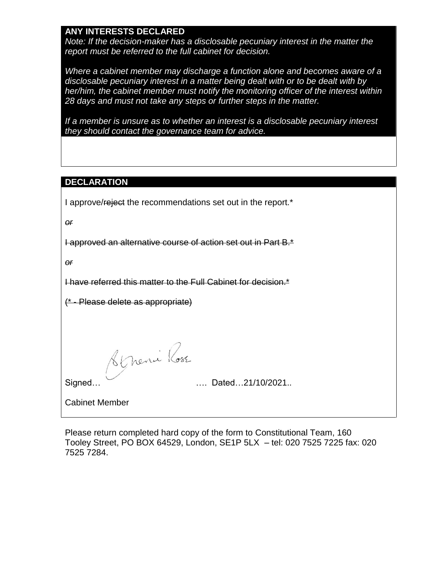#### **ANY INTERESTS DECLARED**

*Note: If the decision-maker has a disclosable pecuniary interest in the matter the report must be referred to the full cabinet for decision.*

*Where a cabinet member may discharge a function alone and becomes aware of a disclosable pecuniary interest in a matter being dealt with or to be dealt with by her/him, the cabinet member must notify the monitoring officer of the interest within 28 days and must not take any steps or further steps in the matter.*

*If a member is unsure as to whether an interest is a disclosable pecuniary interest they should contact the governance team for advice.*

#### **DECLARATION**

I approve/reject the recommendations set out in the report.\*

*or*

I approved an alternative course of action set out in Part B.\*

*or*

I have referred this matter to the Full Cabinet for decision.\*

(\* - Please delete as appropriate)

<u>Répersie Rose</u><br>Signed… …. Dated…21/10/2021..

Cabinet Member

Please return completed hard copy of the form to Constitutional Team, 160 Tooley Street, PO BOX 64529, London, SE1P 5LX – tel: 020 7525 7225 fax: 020 7525 7284.